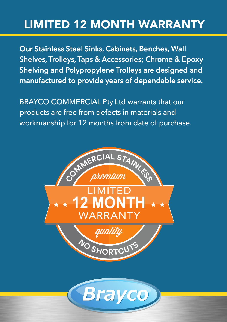## LIMITED 12 MONTH WARRANTY

**Our Stainless Steel Sinks, Cabinets, Benches, Wall Shelves, Trolleys, Taps & Accessories; Chrome & Epoxy Shelving and Polypropylene Trolleys are designed and manufactured to provide years of dependable service.**

BRAYCO COMMERCIAL Pty Ltd warrants that our products are free from defects in materials and workmanship for 12 months from date of purchase.